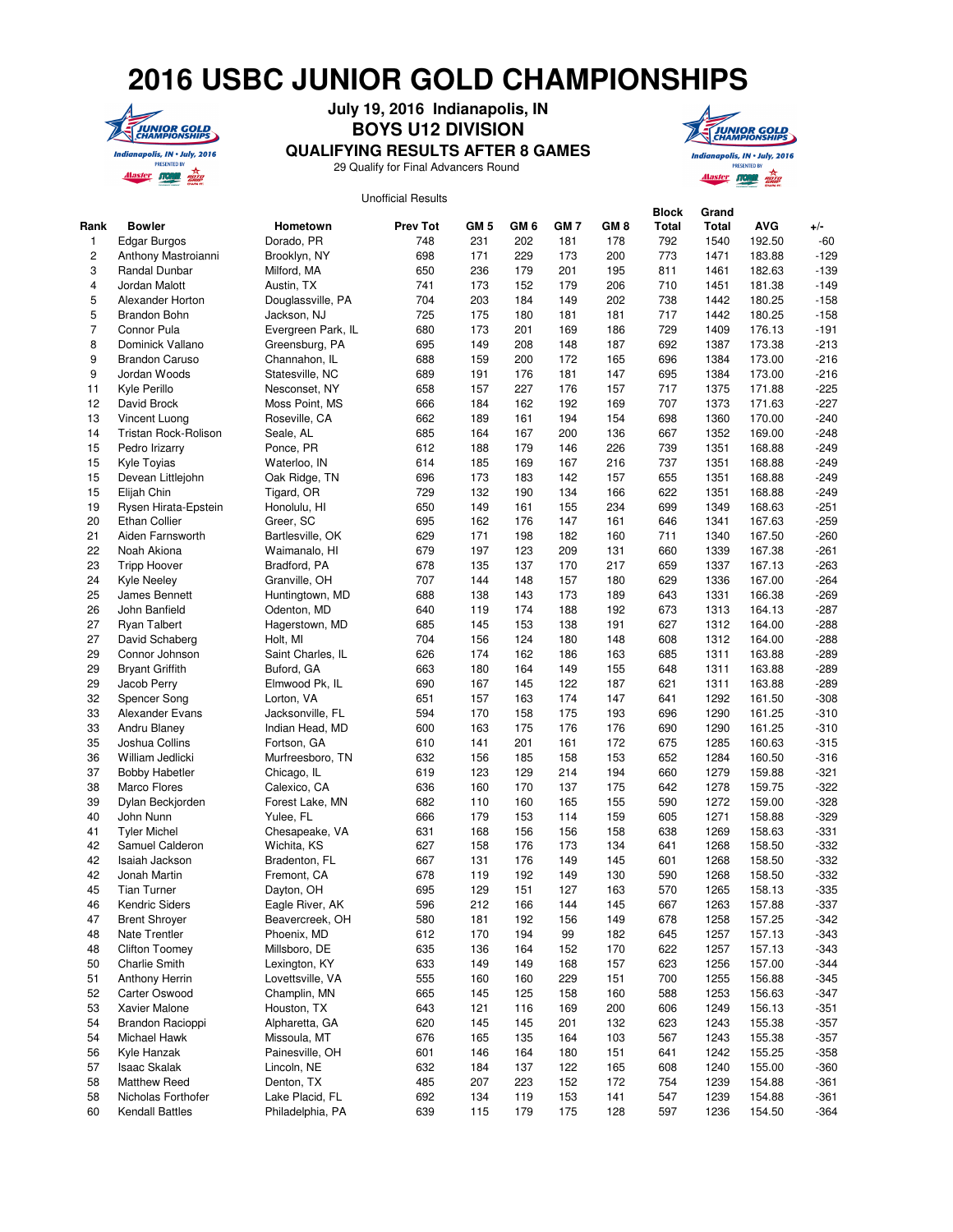## **2016 USBC JUNIOR GOLD CHAMPIONSHIPS**



## **July 19, 2016 Indianapolis, IN BOYS U12 DIVISION**



Unofficial Results **QUALIFYING RESULTS AFTER 8 GAMES** 29 Qualify for Final Advancers Round

|                         |                        |                    |                 |                 |      |      |      | <b>Block</b> | Grand |            |        |
|-------------------------|------------------------|--------------------|-----------------|-----------------|------|------|------|--------------|-------|------------|--------|
| Rank                    | <b>Bowler</b>          | Hometown           | <b>Prev Tot</b> | GM <sub>5</sub> | GM 6 | GM 7 | GM 8 | <b>Total</b> | Total | <b>AVG</b> | $+/-$  |
| 1                       | <b>Edgar Burgos</b>    | Dorado, PR         | 748             | 231             | 202  | 181  | 178  | 792          | 1540  | 192.50     | $-60$  |
| $\overline{\mathbf{c}}$ | Anthony Mastroianni    | Brooklyn, NY       | 698             | 171             | 229  | 173  | 200  | 773          | 1471  | 183.88     | $-129$ |
| 3                       | Randal Dunbar          | Milford, MA        | 650             | 236             | 179  | 201  | 195  | 811          | 1461  | 182.63     | $-139$ |
| 4                       | Jordan Malott          | Austin, TX         | 741             | 173             | 152  | 179  | 206  | 710          | 1451  | 181.38     | $-149$ |
| 5                       | Alexander Horton       |                    | 704             | 203             | 184  | 149  | 202  | 738          | 1442  | 180.25     | $-158$ |
|                         |                        | Douglassville, PA  |                 |                 |      |      |      |              |       |            |        |
| 5                       | <b>Brandon Bohn</b>    | Jackson, NJ        | 725             | 175             | 180  | 181  | 181  | 717          | 1442  | 180.25     | $-158$ |
| 7                       | Connor Pula            | Evergreen Park, IL | 680             | 173             | 201  | 169  | 186  | 729          | 1409  | 176.13     | $-191$ |
| 8                       | Dominick Vallano       | Greensburg, PA     | 695             | 149             | 208  | 148  | 187  | 692          | 1387  | 173.38     | $-213$ |
| 9                       | <b>Brandon Caruso</b>  | Channahon, IL      | 688             | 159             | 200  | 172  | 165  | 696          | 1384  | 173.00     | $-216$ |
| 9                       | Jordan Woods           | Statesville, NC    | 689             | 191             | 176  | 181  | 147  | 695          | 1384  | 173.00     | $-216$ |
| 11                      | Kyle Perillo           | Nesconset, NY      | 658             | 157             | 227  | 176  | 157  | 717          | 1375  | 171.88     | $-225$ |
| 12                      | David Brock            | Moss Point, MS     | 666             | 184             | 162  | 192  | 169  | 707          | 1373  | 171.63     | $-227$ |
| 13                      | Vincent Luong          | Roseville, CA      | 662             | 189             | 161  | 194  | 154  | 698          | 1360  | 170.00     | $-240$ |
| 14                      | Tristan Rock-Rolison   | Seale, AL          | 685             | 164             | 167  | 200  | 136  | 667          | 1352  | 169.00     | $-248$ |
| 15                      | Pedro Irizarry         | Ponce, PR          | 612             | 188             | 179  | 146  | 226  | 739          | 1351  | 168.88     | $-249$ |
| 15                      | Kyle Toyias            | Waterloo, IN       | 614             | 185             | 169  | 167  | 216  | 737          | 1351  | 168.88     | $-249$ |
| 15                      | Devean Littlejohn      | Oak Ridge, TN      | 696             | 173             | 183  | 142  | 157  | 655          | 1351  | 168.88     | $-249$ |
| 15                      | Elijah Chin            | Tigard, OR         | 729             | 132             | 190  | 134  | 166  | 622          | 1351  | 168.88     | $-249$ |
| 19                      | Rysen Hirata-Epstein   |                    | 650             | 149             | 161  | 155  | 234  | 699          | 1349  | 168.63     | $-251$ |
|                         | <b>Ethan Collier</b>   | Honolulu, HI       |                 |                 |      |      |      |              |       |            |        |
| 20                      |                        | Greer, SC          | 695             | 162             | 176  | 147  | 161  | 646          | 1341  | 167.63     | $-259$ |
| 21                      | Aiden Farnsworth       | Bartlesville, OK   | 629             | 171             | 198  | 182  | 160  | 711          | 1340  | 167.50     | $-260$ |
| 22                      | Noah Akiona            | Waimanalo, HI      | 679             | 197             | 123  | 209  | 131  | 660          | 1339  | 167.38     | $-261$ |
| 23                      | <b>Tripp Hoover</b>    | Bradford, PA       | 678             | 135             | 137  | 170  | 217  | 659          | 1337  | 167.13     | $-263$ |
| 24                      | <b>Kyle Neeley</b>     | Granville, OH      | 707             | 144             | 148  | 157  | 180  | 629          | 1336  | 167.00     | $-264$ |
| 25                      | James Bennett          | Huntingtown, MD    | 688             | 138             | 143  | 173  | 189  | 643          | 1331  | 166.38     | $-269$ |
| 26                      | John Banfield          | Odenton, MD        | 640             | 119             | 174  | 188  | 192  | 673          | 1313  | 164.13     | $-287$ |
| 27                      | <b>Ryan Talbert</b>    | Hagerstown, MD     | 685             | 145             | 153  | 138  | 191  | 627          | 1312  | 164.00     | $-288$ |
| 27                      | David Schaberg         | Holt, MI           | 704             | 156             | 124  | 180  | 148  | 608          | 1312  | 164.00     | $-288$ |
| 29                      | Connor Johnson         | Saint Charles, IL  | 626             | 174             | 162  | 186  | 163  | 685          | 1311  | 163.88     | $-289$ |
| 29                      | <b>Bryant Griffith</b> | Buford, GA         | 663             | 180             | 164  | 149  | 155  | 648          | 1311  | 163.88     | $-289$ |
| 29                      | Jacob Perry            | Elmwood Pk, IL     | 690             | 167             | 145  | 122  | 187  | 621          | 1311  | 163.88     | $-289$ |
| 32                      | Spencer Song           | Lorton, VA         | 651             | 157             | 163  | 174  | 147  | 641          | 1292  | 161.50     | $-308$ |
| 33                      | Alexander Evans        | Jacksonville, FL   | 594             | 170             | 158  | 175  | 193  | 696          | 1290  | 161.25     | $-310$ |
| 33                      | Andru Blaney           | Indian Head, MD    | 600             | 163             | 175  | 176  | 176  | 690          | 1290  | 161.25     | $-310$ |
| 35                      |                        |                    |                 | 141             | 201  | 161  | 172  |              |       | 160.63     |        |
|                         | Joshua Collins         | Fortson, GA        | 610             |                 |      |      |      | 675          | 1285  |            | $-315$ |
| 36                      | William Jedlicki       | Murfreesboro, TN   | 632             | 156             | 185  | 158  | 153  | 652          | 1284  | 160.50     | $-316$ |
| 37                      | <b>Bobby Habetler</b>  | Chicago, IL        | 619             | 123             | 129  | 214  | 194  | 660          | 1279  | 159.88     | $-321$ |
| 38                      | Marco Flores           | Calexico, CA       | 636             | 160             | 170  | 137  | 175  | 642          | 1278  | 159.75     | $-322$ |
| 39                      | Dylan Beckjorden       | Forest Lake, MN    | 682             | 110             | 160  | 165  | 155  | 590          | 1272  | 159.00     | $-328$ |
| 40                      | John Nunn              | Yulee, FL          | 666             | 179             | 153  | 114  | 159  | 605          | 1271  | 158.88     | $-329$ |
| 41                      | <b>Tyler Michel</b>    | Chesapeake, VA     | 631             | 168             | 156  | 156  | 158  | 638          | 1269  | 158.63     | $-331$ |
| 42                      | Samuel Calderon        | Wichita, KS        | 627             | 158             | 176  | 173  | 134  | 641          | 1268  | 158.50     | $-332$ |
| 42                      | Isaiah Jackson         | Bradenton, FL      | 667             | 131             | 176  | 149  | 145  | 601          | 1268  | 158.50     | $-332$ |
| 42                      | Jonah Martin           | Fremont, CA        | 678             | 119             | 192  | 149  | 130  | 590          | 1268  | 158.50     | $-332$ |
| 45                      | <b>Tian Turner</b>     | Dayton, OH         | 695             | 129             | 151  | 127  | 163  | 570          | 1265  | 158.13     | $-335$ |
| 46                      | Kendric Siders         | Eagle River, AK    | 596             | 212             | 166  | 144  | 145  | 667          | 1263  | 157.88     | $-337$ |
| 47                      | <b>Brent Shroyer</b>   | Beavercreek, OH    | 580             | 181             | 192  | 156  | 149  | 678          | 1258  | 157.25     | $-342$ |
| 48                      | Nate Trentler          | Phoenix, MD        | 612             | 170             | 194  | 99   | 182  | 645          | 1257  | 157.13     | $-343$ |
| 48                      | <b>Clifton Toomey</b>  | Millsboro, DE      | 635             | 136             | 164  | 152  | 170  | 622          | 1257  | 157.13     | $-343$ |
| 50                      | Charlie Smith          | Lexington, KY      | 633             | 149             | 149  | 168  | 157  | 623          | 1256  | 157.00     | $-344$ |
| 51                      | <b>Anthony Herrin</b>  | Lovettsville, VA   | 555             | 160             | 160  | 229  | 151  | 700          | 1255  | 156.88     | $-345$ |
| 52                      | Carter Oswood          |                    | 665             | 145             | 125  | 158  |      |              | 1253  | 156.63     |        |
|                         |                        | Champlin, MN       |                 |                 |      |      | 160  | 588          |       |            | $-347$ |
| 53                      | Xavier Malone          | Houston, TX        | 643             | 121             | 116  | 169  | 200  | 606          | 1249  | 156.13     | $-351$ |
| 54                      | Brandon Racioppi       | Alpharetta, GA     | 620             | 145             | 145  | 201  | 132  | 623          | 1243  | 155.38     | $-357$ |
| 54                      | Michael Hawk           | Missoula, MT       | 676             | 165             | 135  | 164  | 103  | 567          | 1243  | 155.38     | $-357$ |
| 56                      | Kyle Hanzak            | Painesville, OH    | 601             | 146             | 164  | 180  | 151  | 641          | 1242  | 155.25     | $-358$ |
| 57                      | <b>Isaac Skalak</b>    | Lincoln, NE        | 632             | 184             | 137  | 122  | 165  | 608          | 1240  | 155.00     | $-360$ |
| 58                      | <b>Matthew Reed</b>    | Denton, TX         | 485             | 207             | 223  | 152  | 172  | 754          | 1239  | 154.88     | $-361$ |
| 58                      | Nicholas Forthofer     | Lake Placid, FL    | 692             | 134             | 119  | 153  | 141  | 547          | 1239  | 154.88     | $-361$ |
| 60                      | <b>Kendall Battles</b> | Philadelphia, PA   | 639             | 115             | 179  | 175  | 128  | 597          | 1236  | 154.50     | $-364$ |
|                         |                        |                    |                 |                 |      |      |      |              |       |            |        |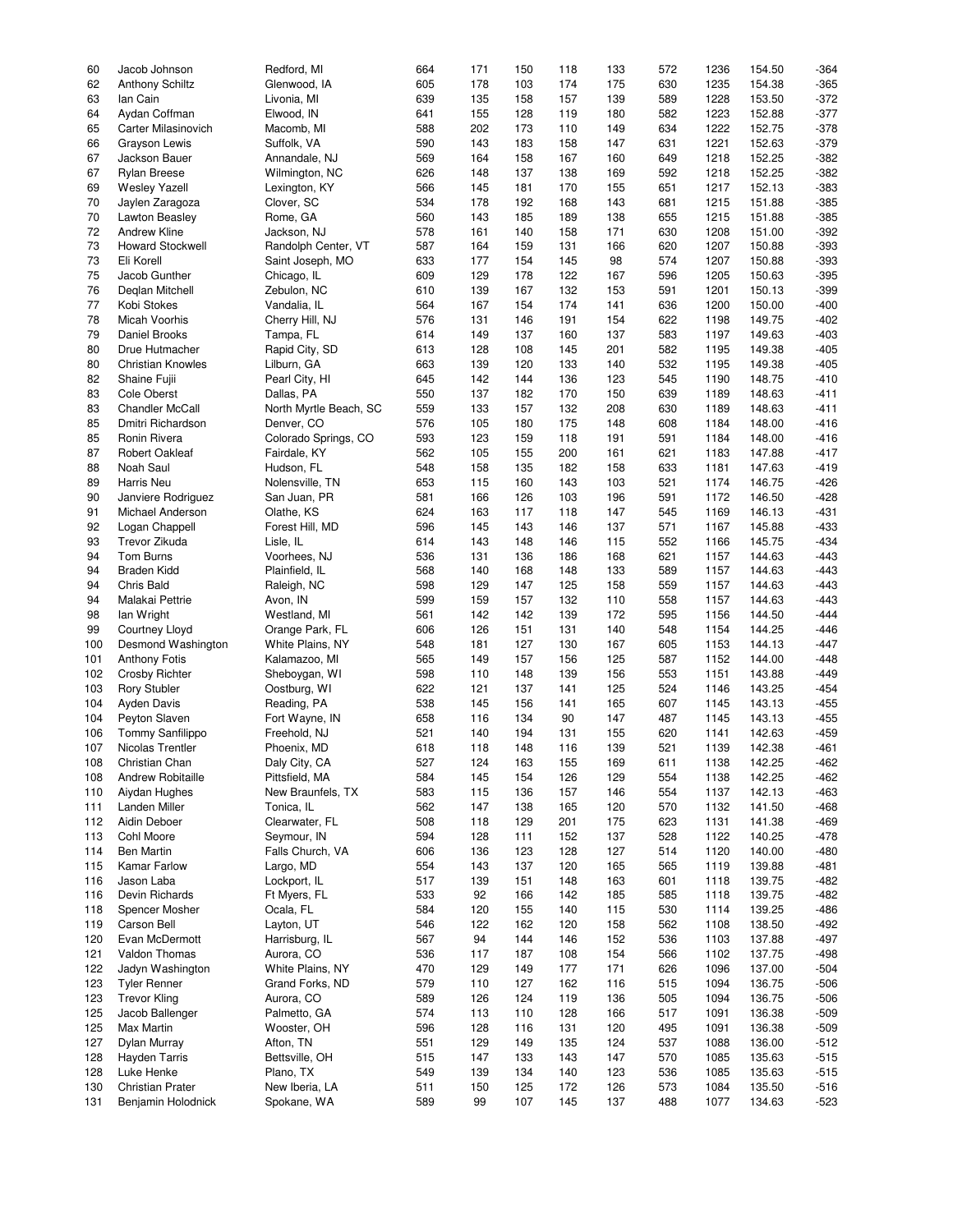| 60  | Jacob Johnson            | Redford, MI            | 664 | 171 | 150 | 118 | 133 | 572 | 1236 | 154.50 | $-364$ |
|-----|--------------------------|------------------------|-----|-----|-----|-----|-----|-----|------|--------|--------|
| 62  | <b>Anthony Schiltz</b>   | Glenwood, IA           | 605 | 178 | 103 | 174 | 175 | 630 | 1235 | 154.38 | $-365$ |
|     |                          |                        |     |     |     |     |     |     |      |        |        |
| 63  | lan Cain                 | Livonia, MI            | 639 | 135 | 158 | 157 | 139 | 589 | 1228 | 153.50 | $-372$ |
| 64  | Aydan Coffman            | Elwood, IN             | 641 | 155 | 128 | 119 | 180 | 582 | 1223 | 152.88 | $-377$ |
| 65  | Carter Milasinovich      | Macomb, MI             | 588 | 202 | 173 | 110 | 149 | 634 | 1222 | 152.75 | $-378$ |
| 66  | Grayson Lewis            | Suffolk, VA            | 590 | 143 | 183 | 158 | 147 | 631 | 1221 | 152.63 | $-379$ |
|     |                          |                        |     |     |     |     |     |     |      |        |        |
| 67  | Jackson Bauer            | Annandale, NJ          | 569 | 164 | 158 | 167 | 160 | 649 | 1218 | 152.25 | $-382$ |
| 67  | <b>Rylan Breese</b>      | Wilmington, NC         | 626 | 148 | 137 | 138 | 169 | 592 | 1218 | 152.25 | $-382$ |
| 69  | <b>Wesley Yazell</b>     | Lexington, KY          | 566 | 145 | 181 | 170 | 155 | 651 | 1217 | 152.13 | $-383$ |
|     | Jaylen Zaragoza          |                        |     |     | 192 |     |     |     |      |        | $-385$ |
| 70  |                          | Clover, SC             | 534 | 178 |     | 168 | 143 | 681 | 1215 | 151.88 |        |
| 70  | Lawton Beasley           | Rome, GA               | 560 | 143 | 185 | 189 | 138 | 655 | 1215 | 151.88 | $-385$ |
| 72  | Andrew Kline             | Jackson, NJ            | 578 | 161 | 140 | 158 | 171 | 630 | 1208 | 151.00 | $-392$ |
| 73  | <b>Howard Stockwell</b>  | Randolph Center, VT    | 587 | 164 | 159 | 131 | 166 | 620 | 1207 | 150.88 | $-393$ |
|     |                          |                        |     |     |     |     |     |     |      |        |        |
| 73  | Eli Korell               | Saint Joseph, MO       | 633 | 177 | 154 | 145 | 98  | 574 | 1207 | 150.88 | $-393$ |
| 75  | Jacob Gunther            | Chicago, IL            | 609 | 129 | 178 | 122 | 167 | 596 | 1205 | 150.63 | $-395$ |
| 76  | Deglan Mitchell          | Zebulon, NC            | 610 | 139 | 167 | 132 | 153 | 591 | 1201 | 150.13 | $-399$ |
| 77  | Kobi Stokes              | Vandalia, IL           | 564 | 167 | 154 | 174 | 141 | 636 | 1200 | 150.00 | $-400$ |
|     |                          |                        |     |     |     |     |     |     |      |        |        |
| 78  | Micah Voorhis            | Cherry Hill, NJ        | 576 | 131 | 146 | 191 | 154 | 622 | 1198 | 149.75 | $-402$ |
| 79  | Daniel Brooks            | Tampa, FL              | 614 | 149 | 137 | 160 | 137 | 583 | 1197 | 149.63 | $-403$ |
| 80  | Drue Hutmacher           | Rapid City, SD         | 613 | 128 | 108 | 145 | 201 | 582 | 1195 | 149.38 | $-405$ |
| 80  | <b>Christian Knowles</b> | Lilburn, GA            | 663 | 139 | 120 | 133 | 140 | 532 | 1195 | 149.38 | $-405$ |
|     |                          |                        |     |     |     |     |     |     |      |        |        |
| 82  | Shaine Fujii             | Pearl City, HI         | 645 | 142 | 144 | 136 | 123 | 545 | 1190 | 148.75 | $-410$ |
| 83  | <b>Cole Oberst</b>       | Dallas, PA             | 550 | 137 | 182 | 170 | 150 | 639 | 1189 | 148.63 | $-411$ |
| 83  | <b>Chandler McCall</b>   | North Myrtle Beach, SC | 559 | 133 | 157 | 132 | 208 | 630 | 1189 | 148.63 | $-411$ |
| 85  | Dmitri Richardson        | Denver, CO             | 576 | 105 | 180 | 175 | 148 | 608 | 1184 | 148.00 | $-416$ |
|     |                          |                        |     |     |     |     |     |     |      |        |        |
| 85  | Ronin Rivera             | Colorado Springs, CO   | 593 | 123 | 159 | 118 | 191 | 591 | 1184 | 148.00 | $-416$ |
| 87  | Robert Oakleaf           | Fairdale, KY           | 562 | 105 | 155 | 200 | 161 | 621 | 1183 | 147.88 | $-417$ |
| 88  | Noah Saul                | Hudson, FL             | 548 | 158 | 135 | 182 | 158 | 633 | 1181 | 147.63 | $-419$ |
| 89  | Harris Neu               | Nolensville, TN        | 653 | 115 | 160 | 143 | 103 | 521 | 1174 | 146.75 | $-426$ |
|     |                          |                        |     |     |     |     |     |     |      |        |        |
| 90  | Janviere Rodriguez       | San Juan, PR           | 581 | 166 | 126 | 103 | 196 | 591 | 1172 | 146.50 | $-428$ |
| 91  | Michael Anderson         | Olathe, KS             | 624 | 163 | 117 | 118 | 147 | 545 | 1169 | 146.13 | $-431$ |
| 92  | Logan Chappell           | Forest Hill, MD        | 596 | 145 | 143 | 146 | 137 | 571 | 1167 | 145.88 | $-433$ |
|     |                          |                        | 614 |     |     |     |     |     |      |        | $-434$ |
| 93  | Trevor Zikuda            | Lisle, IL              |     | 143 | 148 | 146 | 115 | 552 | 1166 | 145.75 |        |
| 94  | Tom Burns                | Voorhees, NJ           | 536 | 131 | 136 | 186 | 168 | 621 | 1157 | 144.63 | $-443$ |
| 94  | <b>Braden Kidd</b>       | Plainfield, IL         | 568 | 140 | 168 | 148 | 133 | 589 | 1157 | 144.63 | $-443$ |
| 94  | Chris Bald               | Raleigh, NC            | 598 | 129 | 147 | 125 | 158 | 559 | 1157 | 144.63 | $-443$ |
|     |                          |                        |     |     |     |     |     |     |      |        | $-443$ |
| 94  | Malakai Pettrie          | Avon, IN               | 599 | 159 | 157 | 132 | 110 | 558 | 1157 | 144.63 |        |
| 98  | lan Wright               | Westland, MI           | 561 | 142 | 142 | 139 | 172 | 595 | 1156 | 144.50 | $-444$ |
| 99  | Courtney Lloyd           | Orange Park, FL        | 606 | 126 | 151 | 131 | 140 | 548 | 1154 | 144.25 | $-446$ |
| 100 | Desmond Washington       | White Plains, NY       | 548 | 181 | 127 | 130 | 167 | 605 | 1153 | 144.13 | $-447$ |
|     |                          |                        |     |     |     |     |     |     |      |        |        |
| 101 | <b>Anthony Fotis</b>     | Kalamazoo, MI          | 565 | 149 | 157 | 156 | 125 | 587 | 1152 | 144.00 | $-448$ |
| 102 | <b>Crosby Richter</b>    | Sheboygan, WI          | 598 | 110 | 148 | 139 | 156 | 553 | 1151 | 143.88 | $-449$ |
| 103 | <b>Rory Stubler</b>      | Oostburg, WI           | 622 | 121 | 137 | 141 | 125 | 524 | 1146 | 143.25 | $-454$ |
| 104 | <b>Ayden Davis</b>       | Reading, PA            | 538 | 145 | 156 | 141 | 165 | 607 | 1145 | 143.13 | $-455$ |
|     |                          |                        |     |     |     |     |     |     |      |        |        |
| 104 | Peyton Slaven            | Fort Wayne, IN         | 658 | 116 | 134 | 90  | 147 | 487 | 1145 | 143.13 | $-455$ |
| 106 | Tommy Sanfilippo         | Freehold, NJ           | 521 | 140 | 194 | 131 | 155 | 620 | 1141 | 142.63 | $-459$ |
| 107 | Nicolas Trentler         | Phoenix, MD            | 618 | 118 | 148 | 116 | 139 | 521 | 1139 | 142.38 | $-461$ |
| 108 | Christian Chan           | Daly City, CA          | 527 | 124 | 163 | 155 | 169 | 611 | 1138 | 142.25 | $-462$ |
|     |                          |                        |     |     |     |     |     |     |      |        |        |
| 108 | <b>Andrew Robitaille</b> | Pittsfield, MA         | 584 | 145 | 154 | 126 | 129 | 554 | 1138 | 142.25 | -462   |
| 110 | Aiydan Hughes            | New Braunfels, TX      | 583 | 115 | 136 | 157 | 146 | 554 | 1137 | 142.13 | -463   |
| 111 | <b>Landen Miller</b>     | Tonica, IL             | 562 | 147 | 138 | 165 | 120 | 570 | 1132 | 141.50 | -468   |
|     |                          | Clearwater, FL         | 508 |     | 129 |     | 175 |     |      |        | -469   |
| 112 | Aidin Deboer             |                        |     | 118 |     | 201 |     | 623 | 1131 | 141.38 |        |
| 113 | Cohl Moore               | Seymour, IN            | 594 | 128 | 111 | 152 | 137 | 528 | 1122 | 140.25 | -478   |
| 114 | <b>Ben Martin</b>        | Falls Church, VA       | 606 | 136 | 123 | 128 | 127 | 514 | 1120 | 140.00 | $-480$ |
| 115 | <b>Kamar Farlow</b>      | Largo, MD              | 554 | 143 | 137 | 120 | 165 | 565 | 1119 | 139.88 | -481   |
|     |                          |                        |     |     |     |     |     |     |      | 139.75 |        |
| 116 | Jason Laba               | Lockport, IL           | 517 | 139 | 151 | 148 | 163 | 601 | 1118 |        | -482   |
| 116 | Devin Richards           | Ft Myers, FL           | 533 | 92  | 166 | 142 | 185 | 585 | 1118 | 139.75 | -482   |
| 118 | Spencer Mosher           | Ocala, FL              | 584 | 120 | 155 | 140 | 115 | 530 | 1114 | 139.25 | -486   |
| 119 | Carson Bell              | Layton, UT             | 546 | 122 | 162 | 120 | 158 | 562 | 1108 | 138.50 | $-492$ |
|     |                          |                        |     |     |     |     |     |     |      |        |        |
| 120 | Evan McDermott           | Harrisburg, IL         | 567 | 94  | 144 | 146 | 152 | 536 | 1103 | 137.88 | -497   |
| 121 | Valdon Thomas            | Aurora, CO             | 536 | 117 | 187 | 108 | 154 | 566 | 1102 | 137.75 | -498   |
| 122 | Jadyn Washington         | White Plains, NY       | 470 | 129 | 149 | 177 | 171 | 626 | 1096 | 137.00 | -504   |
| 123 | <b>Tyler Renner</b>      | Grand Forks, ND        | 579 | 110 | 127 | 162 | 116 | 515 | 1094 | 136.75 | $-506$ |
|     |                          |                        |     |     |     |     |     |     |      |        |        |
| 123 | <b>Trevor Kling</b>      | Aurora, CO             | 589 | 126 | 124 | 119 | 136 | 505 | 1094 | 136.75 | $-506$ |
| 125 | Jacob Ballenger          | Palmetto, GA           | 574 | 113 | 110 | 128 | 166 | 517 | 1091 | 136.38 | $-509$ |
| 125 | Max Martin               | Wooster, OH            | 596 | 128 | 116 | 131 | 120 | 495 | 1091 | 136.38 | $-509$ |
| 127 | Dylan Murray             | Afton, TN              | 551 | 129 | 149 | 135 | 124 | 537 | 1088 | 136.00 | $-512$ |
|     |                          |                        |     |     |     |     |     |     |      |        |        |
| 128 | Hayden Tarris            | Bettsville, OH         | 515 | 147 | 133 | 143 | 147 | 570 | 1085 | 135.63 | $-515$ |
| 128 | Luke Henke               | Plano, TX              | 549 | 139 | 134 | 140 | 123 | 536 | 1085 | 135.63 | $-515$ |
| 130 | <b>Christian Prater</b>  | New Iberia, LA         | 511 | 150 | 125 | 172 | 126 | 573 | 1084 | 135.50 | $-516$ |
|     |                          |                        |     |     |     |     |     |     |      |        |        |
| 131 | Benjamin Holodnick       | Spokane, WA            | 589 | 99  | 107 | 145 | 137 | 488 | 1077 | 134.63 | $-523$ |